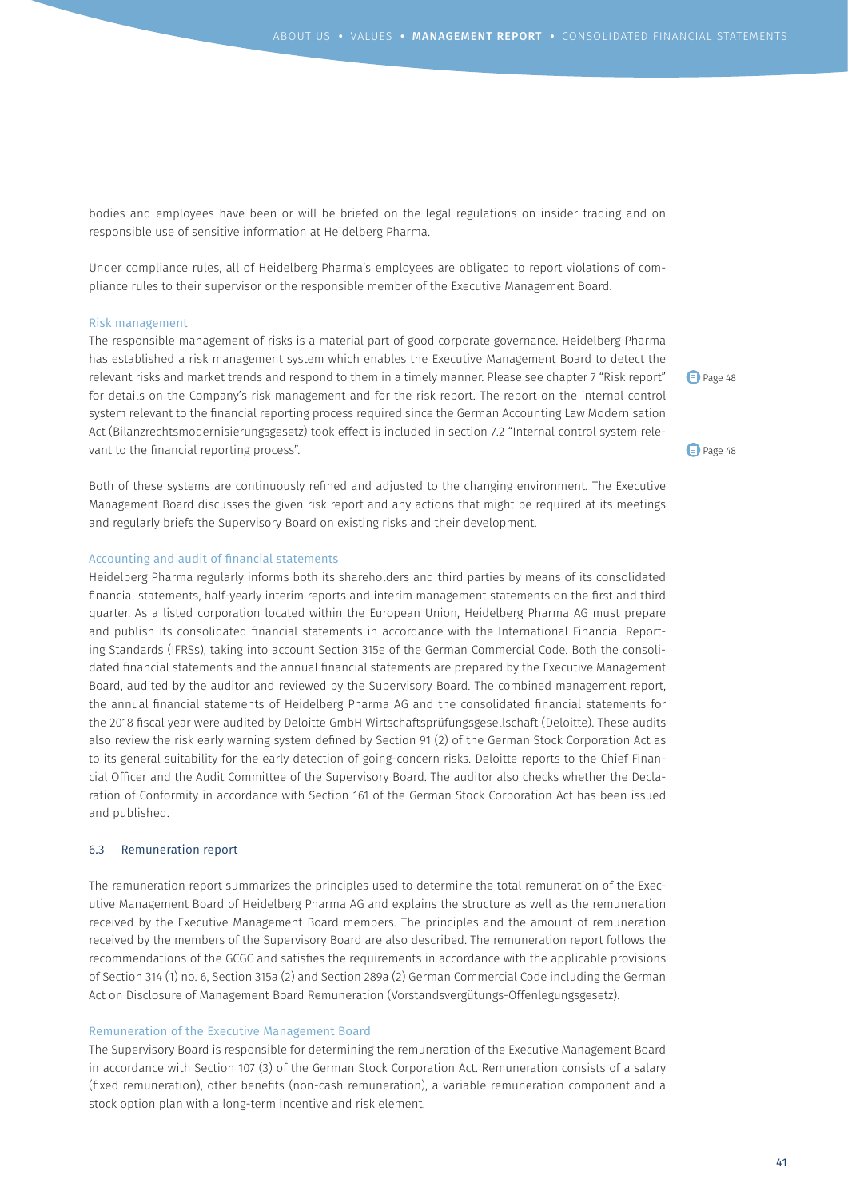bodies and employees have been or will be briefed on the legal regulations on insider trading and on responsible use of sensitive information at Heidelberg Pharma.

Under compliance rules, all of Heidelberg Pharma's employees are obligated to report violations of compliance rules to their supervisor or the responsible member of the Executive Management Board.

#### Risk management

The responsible management of risks is a material part of good corporate governance. Heidelberg Pharma has established a risk management system which enables the Executive Management Board to detect the relevant risks and market trends and respond to them in a timely manner. Please see chapter 7 "Risk report" for details on the Company's risk management and for the risk report. The report on the internal control system relevant to the financial reporting process required since the German Accounting Law Modernisation Act (Bilanzrechtsmodernisierungsgesetz) took effect is included in section 7.2 "Internal control system relevant to the financial reporting process".

Both of these systems are continuously refined and adjusted to the changing environment. The Executive Management Board discusses the given risk report and any actions that might be required at its meetings and regularly briefs the Supervisory Board on existing risks and their development.

## Accounting and audit of financial statements

Heidelberg Pharma regularly informs both its shareholders and third parties by means of its consolidated financial statements, half-yearly interim reports and interim management statements on the first and third quarter. As a listed corporation located within the European Union, Heidelberg Pharma AG must prepare and publish its consolidated financial statements in accordance with the International Financial Reporting Standards (IFRSs), taking into account Section 315e of the German Commercial Code. Both the consolidated financial statements and the annual financial statements are prepared by the Executive Management Board, audited by the auditor and reviewed by the Supervisory Board. The combined management report, the annual financial statements of Heidelberg Pharma AG and the consolidated financial statements for the 2018 fiscal year were audited by Deloitte GmbH Wirtschaftsprüfungsgesellschaft (Deloitte). These audits also review the risk early warning system defined by Section 91 (2) of the German Stock Corporation Act as to its general suitability for the early detection of going-concern risks. Deloitte reports to the Chief Financial Officer and the Audit Committee of the Supervisory Board. The auditor also checks whether the Declaration of Conformity in accordance with Section 161 of the German Stock Corporation Act has been issued and published.

## 6.3 Remuneration report

The remuneration report summarizes the principles used to determine the total remuneration of the Executive Management Board of Heidelberg Pharma AG and explains the structure as well as the remuneration received by the Executive Management Board members. The principles and the amount of remuneration received by the members of the Supervisory Board are also described. The remuneration report follows the recommendations of the GCGC and satisfies the requirements in accordance with the applicable provisions of Section 314 (1) no. 6, Section 315a (2) and Section 289a (2) German Commercial Code including the German Act on Disclosure of Management Board Remuneration (Vorstandsvergütungs-Offenlegungsgesetz).

#### Remuneration of the Executive Management Board

The Supervisory Board is responsible for determining the remuneration of the Executive Management Board in accordance with Section 107 (3) of the German Stock Corporation Act. Remuneration consists of a salary (fixed remuneration), other benefits (non-cash remuneration), a variable remuneration component and a stock option plan with a long-term incentive and risk element.

Page 48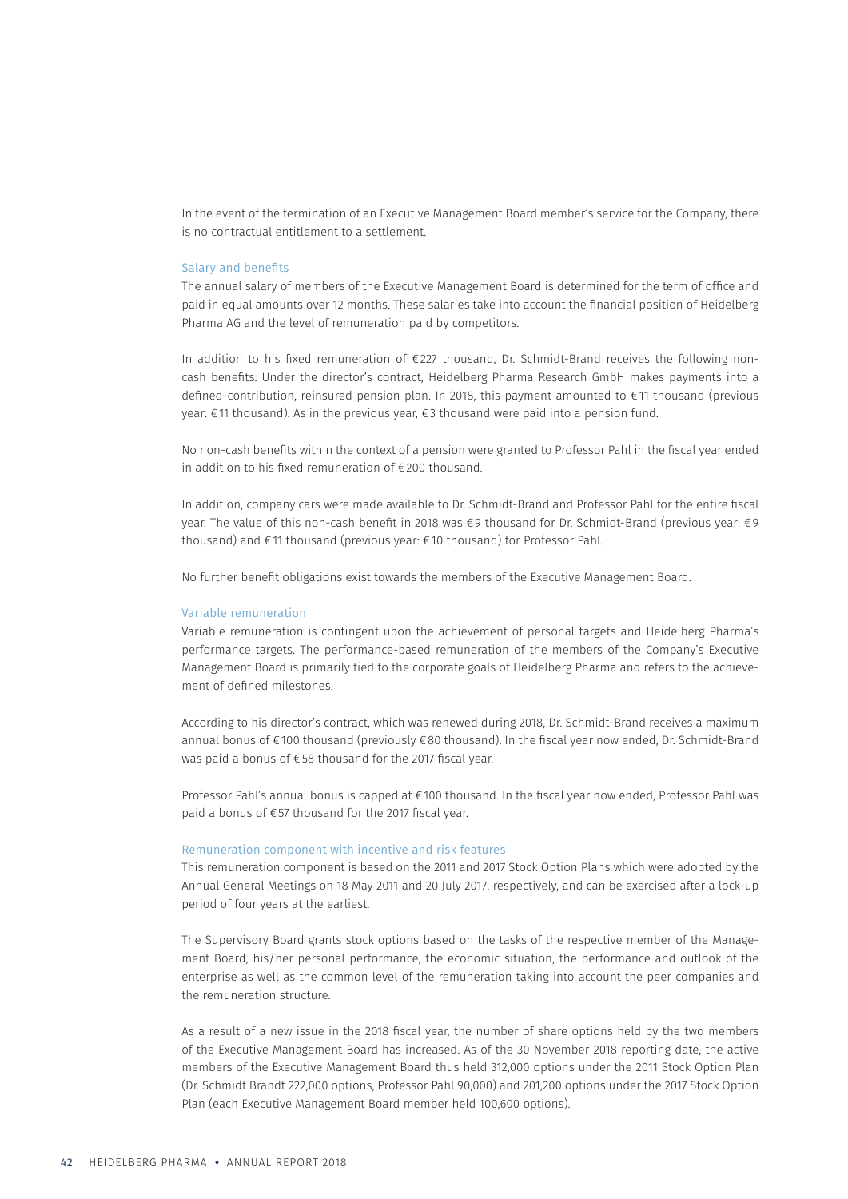In the event of the termination of an Executive Management Board member's service for the Company, there is no contractual entitlement to a settlement.

#### Salary and benefits

The annual salary of members of the Executive Management Board is determined for the term of office and paid in equal amounts over 12 months. These salaries take into account the financial position of Heidelberg Pharma AG and the level of remuneration paid by competitors.

In addition to his fixed remuneration of €227 thousand, Dr. Schmidt-Brand receives the following noncash benefits: Under the director's contract, Heidelberg Pharma Research GmbH makes payments into a defined-contribution, reinsured pension plan. In 2018, this payment amounted to €11 thousand (previous year: €11 thousand). As in the previous year, €3 thousand were paid into a pension fund.

No non-cash benefits within the context of a pension were granted to Professor Pahl in the fiscal year ended in addition to his fixed remuneration of €200 thousand.

In addition, company cars were made available to Dr. Schmidt-Brand and Professor Pahl for the entire fiscal year. The value of this non-cash benefit in 2018 was €9 thousand for Dr. Schmidt-Brand (previous year: €9 thousand) and €11 thousand (previous year: €10 thousand) for Professor Pahl.

No further benefit obligations exist towards the members of the Executive Management Board.

# Variable remuneration

Variable remuneration is contingent upon the achievement of personal targets and Heidelberg Pharma's performance targets. The performance-based remuneration of the members of the Company's Executive Management Board is primarily tied to the corporate goals of Heidelberg Pharma and refers to the achievement of defined milestones.

According to his director's contract, which was renewed during 2018, Dr. Schmidt-Brand receives a maximum annual bonus of €100 thousand (previously €80 thousand). In the fiscal year now ended, Dr. Schmidt-Brand was paid a bonus of €58 thousand for the 2017 fiscal year.

Professor Pahl's annual bonus is capped at €100 thousand. In the fiscal year now ended, Professor Pahl was paid a bonus of €57 thousand for the 2017 fiscal year.

## Remuneration component with incentive and risk features

This remuneration component is based on the 2011 and 2017 Stock Option Plans which were adopted by the Annual General Meetings on 18 May 2011 and 20 July 2017, respectively, and can be exercised after a lock-up period of four years at the earliest.

The Supervisory Board grants stock options based on the tasks of the respective member of the Management Board, his/her personal performance, the economic situation, the performance and outlook of the enterprise as well as the common level of the remuneration taking into account the peer companies and the remuneration structure.

As a result of a new issue in the 2018 fiscal year, the number of share options held by the two members of the Executive Management Board has increased. As of the 30 November 2018 reporting date, the active members of the Executive Management Board thus held 312,000 options under the 2011 Stock Option Plan (Dr. Schmidt Brandt 222,000 options, Professor Pahl 90,000) and 201,200 options under the 2017 Stock Option Plan (each Executive Management Board member held 100,600 options).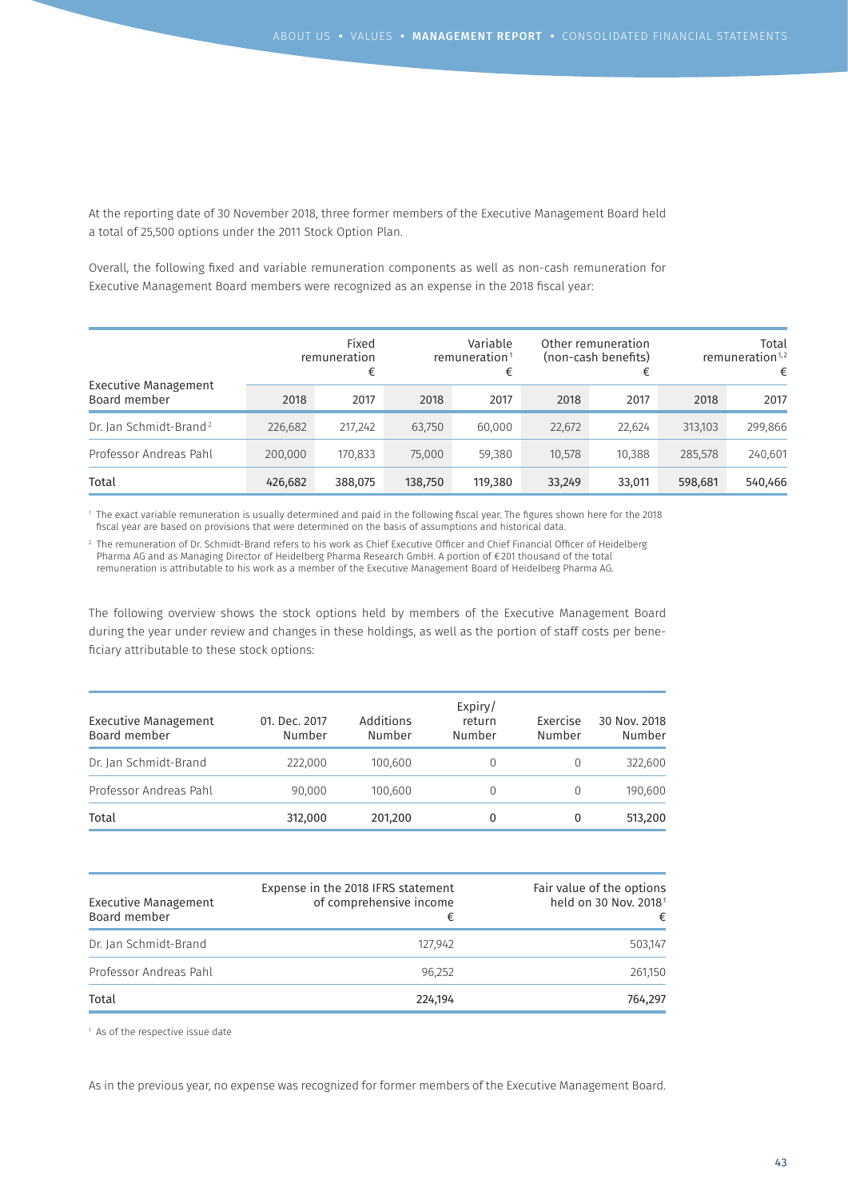At the reporting date of 30 November 2018, three former members of the Executive Management Board held a total of 25,500 options under the 2011 Stock Option Plan.

Overall, the following fixed and variable remuneration components as well as non-cash remuneration for Executive Management Board members were recognized as an expense in the 2018 fiscal year:

| Executive Management<br>Board member |         | Fixed<br>remuneration<br>€ | Variable<br>remuneration $1$<br>€ |         | Other remuneration<br>(non-cash benefits)<br>€ |        | Total<br>remuneration <sup>1,2</sup><br>€ |         |
|--------------------------------------|---------|----------------------------|-----------------------------------|---------|------------------------------------------------|--------|-------------------------------------------|---------|
|                                      | 2018    | 2017                       | 2018                              | 2017    | 2018                                           | 2017   | 2018                                      | 2017    |
| Dr. Jan Schmidt-Brand <sup>2</sup>   | 226,682 | 217,242                    | 63,750                            | 60,000  | 22,672                                         | 22,624 | 313,103                                   | 299,866 |
| Professor Andreas Pahl               | 200,000 | 170,833                    | 75,000                            | 59,380  | 10,578                                         | 10,388 | 285,578                                   | 240,601 |
| Total                                | 426,682 | 388,075                    | 138,750                           | 119,380 | 33,249                                         | 33,011 | 598,681                                   | 540,466 |

1 The exact variable remuneration is usually determined and paid in the following fiscal year. The figures shown here for the 2018 fiscal year are based on provisions that were determined on the basis of assumptions and historical data.

2 The remuneration of Dr. Schmidt-Brand refers to his work as Chief Executive Officer and Chief Financial Officer of Heidelberg Pharma AG and as Managing Director of Heidelberg Pharma Research GmbH. A portion of €201 thousand of the total remuneration is attributable to his work as a member of the Executive Management Board of Heidelberg Pharma AG.

The following overview shows the stock options held by members of the Executive Management Board during the year under review and changes in these holdings, as well as the portion of staff costs per beneficiary attributable to these stock options:

| Executive Management<br>Board member | 01. Dec. 2017<br>Number | Additions<br>Number | Expiry/<br>return<br>Number | Exercise<br>Number | 30 Nov. 2018<br>Number |
|--------------------------------------|-------------------------|---------------------|-----------------------------|--------------------|------------------------|
| Dr. Jan Schmidt-Brand                | 222,000                 | 100.600             |                             | 0                  | 322,600                |
| Professor Andreas Pahl               | 90,000                  | 100.600             | $\Omega$                    | 0                  | 190,600                |
| Total                                | 312,000                 | 201,200             | 0                           | 0                  | 513,200                |

| Executive Management<br>Board member | Expense in the 2018 IFRS statement<br>of comprehensive income<br>€ | Fair value of the options<br>held on 30 Nov. 2018 <sup>1</sup><br>€ |
|--------------------------------------|--------------------------------------------------------------------|---------------------------------------------------------------------|
| Dr. Jan Schmidt-Brand                | 127.942                                                            | 503.147                                                             |
| Professor Andreas Pahl               | 96.252                                                             | 261,150                                                             |
| Total                                | 224.194                                                            | 764.297                                                             |

<sup>1</sup> As of the respective issue date

As in the previous year, no expense was recognized for former members of the Executive Management Board.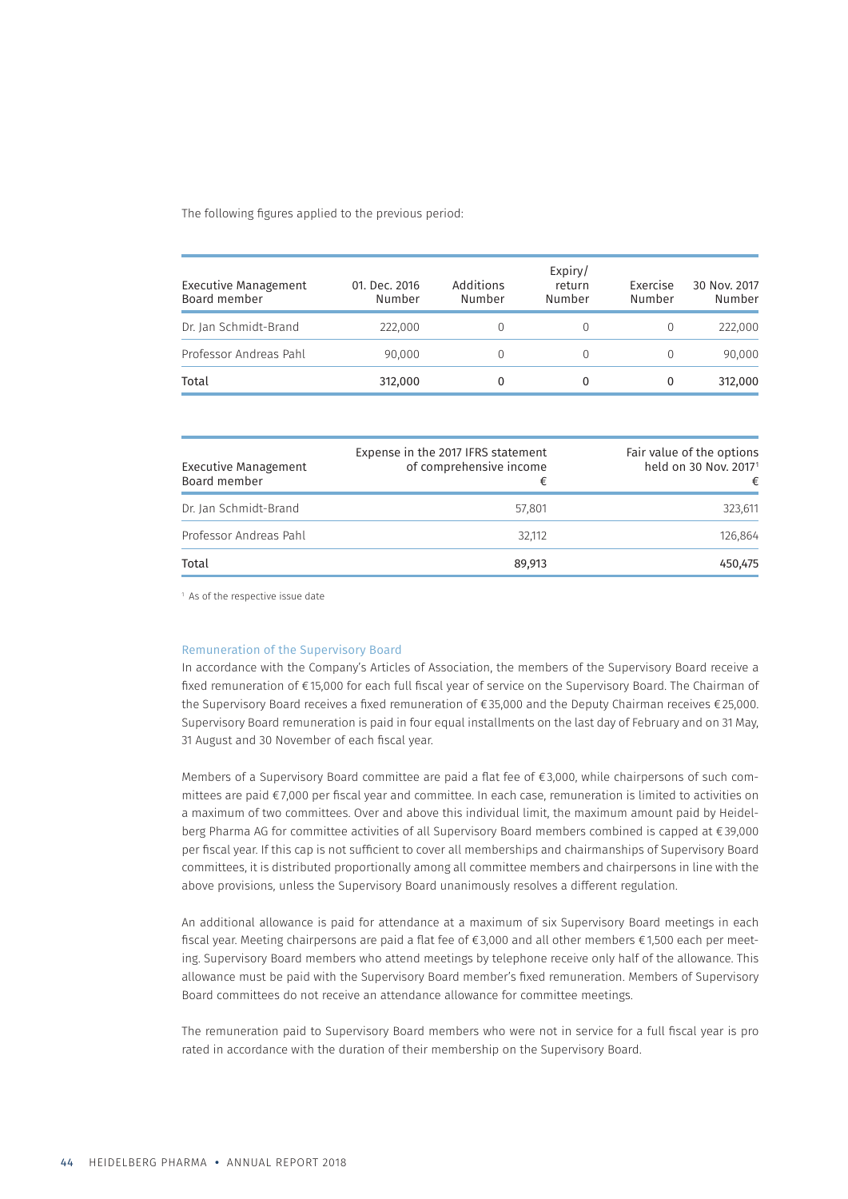The following figures applied to the previous period:

| <b>Executive Management</b><br>Board member | 01. Dec. 2016<br>Number | Additions<br>Number | Expiry/<br>return<br>Number | Exercise<br>Number | 30 Nov. 2017<br>Number |
|---------------------------------------------|-------------------------|---------------------|-----------------------------|--------------------|------------------------|
| Dr. Jan Schmidt-Brand                       | 222,000                 |                     | 0                           | $\left( \right)$   | 222,000                |
| Professor Andreas Pahl                      | 90.000                  |                     | 0                           |                    | 90,000                 |
| Total                                       | 312,000                 |                     | 0                           | 0                  | 312,000                |

| <b>Executive Management</b><br>Board member | Expense in the 2017 IFRS statement<br>of comprehensive income<br>€ | Fair value of the options<br>held on 30 Nov. 2017 <sup>1</sup><br>€ |
|---------------------------------------------|--------------------------------------------------------------------|---------------------------------------------------------------------|
| Dr. Jan Schmidt-Brand                       | 57.801                                                             | 323,611                                                             |
| Professor Andreas Pahl                      | 32.112                                                             | 126,864                                                             |
| Total                                       | 89.913                                                             | 450.475                                                             |

<sup>1</sup> As of the respective issue date

#### Remuneration of the Supervisory Board

In accordance with the Company's Articles of Association, the members of the Supervisory Board receive a fixed remuneration of €15,000 for each full fiscal year of service on the Supervisory Board. The Chairman of the Supervisory Board receives a fixed remuneration of €35,000 and the Deputy Chairman receives €25,000. Supervisory Board remuneration is paid in four equal installments on the last day of February and on 31 May, 31 August and 30 November of each fiscal year.

Members of a Supervisory Board committee are paid a flat fee of €3,000, while chairpersons of such committees are paid €7,000 per fiscal year and committee. In each case, remuneration is limited to activities on a maximum of two committees. Over and above this individual limit, the maximum amount paid by Heidelberg Pharma AG for committee activities of all Supervisory Board members combined is capped at €39,000 per fiscal year. If this cap is not sufficient to cover all memberships and chairmanships of Supervisory Board committees, it is distributed proportionally among all committee members and chairpersons in line with the above provisions, unless the Supervisory Board unanimously resolves a different regulation.

An additional allowance is paid for attendance at a maximum of six Supervisory Board meetings in each fiscal year. Meeting chairpersons are paid a flat fee of €3,000 and all other members €1,500 each per meeting. Supervisory Board members who attend meetings by telephone receive only half of the allowance. This allowance must be paid with the Supervisory Board member's fixed remuneration. Members of Supervisory Board committees do not receive an attendance allowance for committee meetings.

The remuneration paid to Supervisory Board members who were not in service for a full fiscal year is pro rated in accordance with the duration of their membership on the Supervisory Board.